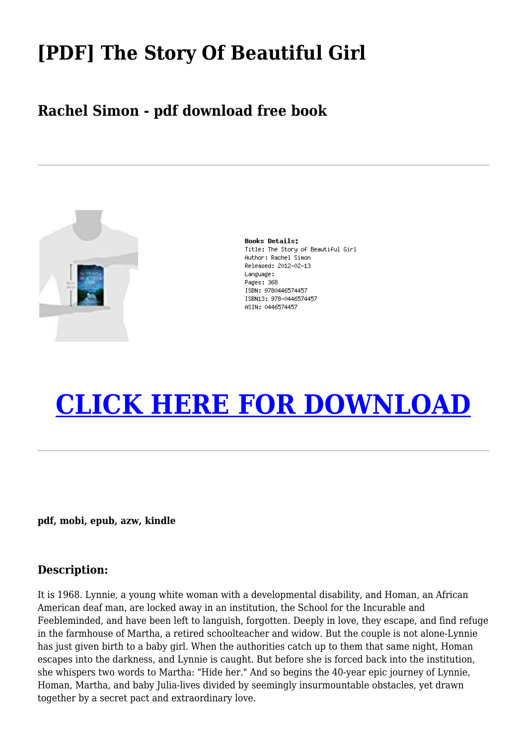## **[PDF] The Story Of Beautiful Girl**

### **Rachel Simon - pdf download free book**



**Books Details:** Title: The Story of Beautiful Girl Author: Rachel Simon Released: 2012-02-13 Language: Pages: 368 ISBN: 9780446574457 TSBN13: 978-0446574457 ASIN: 0446574457

# **[CLICK HERE FOR DOWNLOAD](http://red.wutf.space/books3/?pid=1998745633&d=20-09-30&dm=null)**

**pdf, mobi, epub, azw, kindle**

### **Description:**

It is 1968. Lynnie, a young white woman with a developmental disability, and Homan, an African American deaf man, are locked away in an institution, the School for the Incurable and Feebleminded, and have been left to languish, forgotten. Deeply in love, they escape, and find refuge in the farmhouse of Martha, a retired schoolteacher and widow. But the couple is not alone-Lynnie has just given birth to a baby girl. When the authorities catch up to them that same night, Homan escapes into the darkness, and Lynnie is caught. But before she is forced back into the institution, she whispers two words to Martha: "Hide her." And so begins the 40-year epic journey of Lynnie, Homan, Martha, and baby Julia-lives divided by seemingly insurmountable obstacles, yet drawn together by a secret pact and extraordinary love.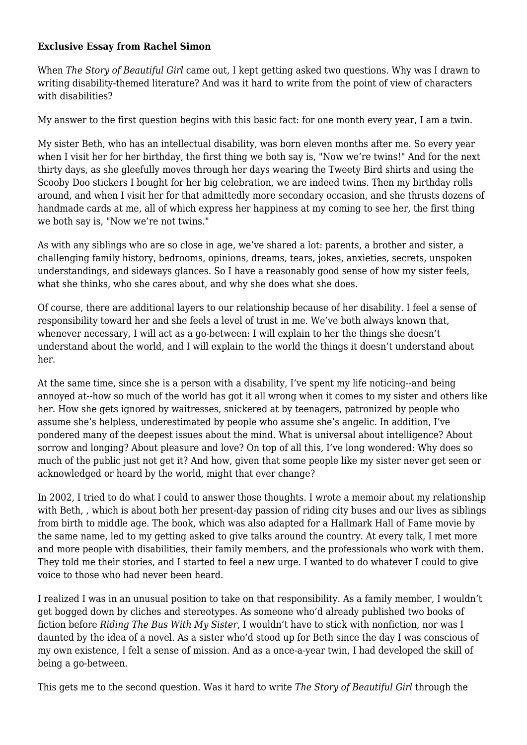#### **Exclusive Essay from Rachel Simon**

When *The Story of Beautiful Girl* came out, I kept getting asked two questions. Why was I drawn to writing disability-themed literature? And was it hard to write from the point of view of characters with disabilities?

My answer to the first question begins with this basic fact: for one month every year, I am a twin.

My sister Beth, who has an intellectual disability, was born eleven months after me. So every year when I visit her for her birthday, the first thing we both say is, "Now we're twins!" And for the next thirty days, as she gleefully moves through her days wearing the Tweety Bird shirts and using the Scooby Doo stickers I bought for her big celebration, we are indeed twins. Then my birthday rolls around, and when I visit her for that admittedly more secondary occasion, and she thrusts dozens of handmade cards at me, all of which express her happiness at my coming to see her, the first thing we both say is, "Now we're not twins."

As with any siblings who are so close in age, we've shared a lot: parents, a brother and sister, a challenging family history, bedrooms, opinions, dreams, tears, jokes, anxieties, secrets, unspoken understandings, and sideways glances. So I have a reasonably good sense of how my sister feels, what she thinks, who she cares about, and why she does what she does.

Of course, there are additional layers to our relationship because of her disability. I feel a sense of responsibility toward her and she feels a level of trust in me. We've both always known that, whenever necessary, I will act as a go-between: I will explain to her the things she doesn't understand about the world, and I will explain to the world the things it doesn't understand about her.

At the same time, since she is a person with a disability, I've spent my life noticing--and being annoyed at--how so much of the world has got it all wrong when it comes to my sister and others like her. How she gets ignored by waitresses, snickered at by teenagers, patronized by people who assume she's helpless, underestimated by people who assume she's angelic. In addition, I've pondered many of the deepest issues about the mind. What is universal about intelligence? About sorrow and longing? About pleasure and love? On top of all this, I've long wondered: Why does so much of the public just not get it? And how, given that some people like my sister never get seen or acknowledged or heard by the world, might that ever change?

In 2002, I tried to do what I could to answer those thoughts. I wrote a memoir about my relationship with Beth, , which is about both her present-day passion of riding city buses and our lives as siblings from birth to middle age. The book, which was also adapted for a Hallmark Hall of Fame movie by the same name, led to my getting asked to give talks around the country. At every talk, I met more and more people with disabilities, their family members, and the professionals who work with them. They told me their stories, and I started to feel a new urge. I wanted to do whatever I could to give voice to those who had never been heard.

I realized I was in an unusual position to take on that responsibility. As a family member, I wouldn't get bogged down by cliches and stereotypes. As someone who'd already published two books of fiction before *Riding The Bus With My Sister*, I wouldn't have to stick with nonfiction, nor was I daunted by the idea of a novel. As a sister who'd stood up for Beth since the day I was conscious of my own existence, I felt a sense of mission. And as a once-a-year twin, I had developed the skill of being a go-between.

This gets me to the second question. Was it hard to write *The Story of Beautiful Girl* through the